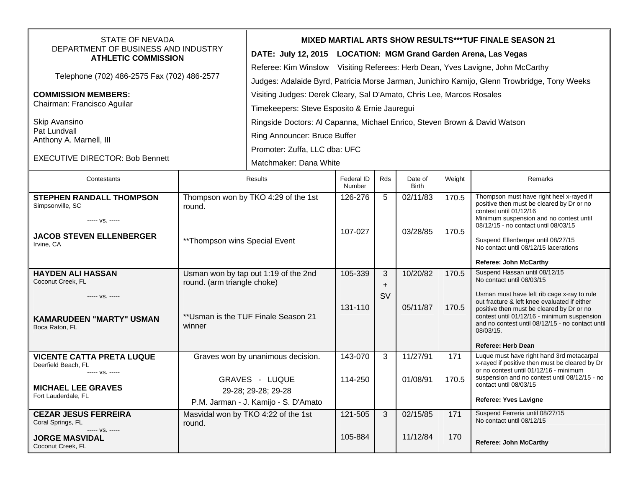| <b>STATE OF NEVADA</b>                                                          |                                                                     | <b>MIXED MARTIAL ARTS SHOW RESULTS***TUF FINALE SEASON 21</b>                                |                      |                    |                         |        |                                                                                                                                                                                                           |  |  |
|---------------------------------------------------------------------------------|---------------------------------------------------------------------|----------------------------------------------------------------------------------------------|----------------------|--------------------|-------------------------|--------|-----------------------------------------------------------------------------------------------------------------------------------------------------------------------------------------------------------|--|--|
| DEPARTMENT OF BUSINESS AND INDUSTRY<br><b>ATHLETIC COMMISSION</b>               |                                                                     | DATE: July 12, 2015 LOCATION: MGM Grand Garden Arena, Las Vegas                              |                      |                    |                         |        |                                                                                                                                                                                                           |  |  |
| Telephone (702) 486-2575 Fax (702) 486-2577                                     |                                                                     | Referee: Kim Winslow Visiting Referees: Herb Dean, Yves Lavigne, John McCarthy               |                      |                    |                         |        |                                                                                                                                                                                                           |  |  |
|                                                                                 |                                                                     | Judges: Adalaide Byrd, Patricia Morse Jarman, Junichiro Kamijo, Glenn Trowbridge, Tony Weeks |                      |                    |                         |        |                                                                                                                                                                                                           |  |  |
| <b>COMMISSION MEMBERS:</b><br>Chairman: Francisco Aguilar                       |                                                                     | Visiting Judges: Derek Cleary, Sal D'Amato, Chris Lee, Marcos Rosales                        |                      |                    |                         |        |                                                                                                                                                                                                           |  |  |
|                                                                                 |                                                                     | Timekeepers: Steve Esposito & Ernie Jauregui                                                 |                      |                    |                         |        |                                                                                                                                                                                                           |  |  |
| Skip Avansino<br>Pat Lundvall<br>Anthony A. Marnell, III                        |                                                                     | Ringside Doctors: Al Capanna, Michael Enrico, Steven Brown & David Watson                    |                      |                    |                         |        |                                                                                                                                                                                                           |  |  |
|                                                                                 |                                                                     | Ring Announcer: Bruce Buffer                                                                 |                      |                    |                         |        |                                                                                                                                                                                                           |  |  |
|                                                                                 |                                                                     | Promoter: Zuffa, LLC dba: UFC                                                                |                      |                    |                         |        |                                                                                                                                                                                                           |  |  |
| <b>EXECUTIVE DIRECTOR: Bob Bennett</b>                                          |                                                                     | Matchmaker: Dana White                                                                       |                      |                    |                         |        |                                                                                                                                                                                                           |  |  |
| Contestants                                                                     | Results                                                             |                                                                                              | Federal ID<br>Number | Rds                | Date of<br><b>Birth</b> | Weight | Remarks                                                                                                                                                                                                   |  |  |
| <b>STEPHEN RANDALL THOMPSON</b><br>Simpsonville, SC                             | Thompson won by TKO 4:29 of the 1st<br>round.                       |                                                                                              | 126-276              | 5                  | 02/11/83                | 170.5  | Thompson must have right heel x-rayed if<br>positive then must be cleared by Dr or no<br>contest until 01/12/16                                                                                           |  |  |
| ----- VS. -----                                                                 |                                                                     |                                                                                              |                      |                    | 03/28/85                | 170.5  | Minimum suspension and no contest until<br>08/12/15 - no contact until 08/03/15                                                                                                                           |  |  |
| <b>JACOB STEVEN ELLENBERGER</b><br>** Thompson wins Special Event<br>Irvine, CA |                                                                     |                                                                                              | 107-027              |                    |                         |        | Suspend Ellenberger until 08/27/15<br>No contact until 08/12/15 lacerations                                                                                                                               |  |  |
|                                                                                 |                                                                     |                                                                                              |                      |                    |                         |        | <b>Referee: John McCarthy</b>                                                                                                                                                                             |  |  |
| <b>HAYDEN ALI HASSAN</b><br>Coconut Creek, FL                                   | Usman won by tap out 1:19 of the 2nd<br>round. (arm triangle choke) |                                                                                              | 105-339              | 3                  | 10/20/82                | 170.5  | Suspend Hassan until 08/12/15<br>No contact until 08/03/15                                                                                                                                                |  |  |
|                                                                                 |                                                                     |                                                                                              |                      | $\pm$<br><b>SV</b> |                         |        | Usman must have left rib cage x-ray to rule                                                                                                                                                               |  |  |
| ----- VS. -----<br><b>KAMARUDEEN "MARTY" USMAN</b><br>Boca Raton, FL            | ** Usman is the TUF Finale Season 21<br>winner                      |                                                                                              | 131-110              |                    | 05/11/87                | 170.5  | out fracture & left knee evaluated if either<br>positive then must be cleared by Dr or no<br>contest until 01/12/16 - minimum suspension<br>and no contest until 08/12/15 - no contact until<br>08/03/15. |  |  |
|                                                                                 |                                                                     |                                                                                              |                      |                    |                         |        | <b>Referee: Herb Dean</b>                                                                                                                                                                                 |  |  |
| <b>VICENTE CATTA PRETA LUQUE</b><br>Deerfield Beach, FL                         | Graves won by unanimous decision.                                   |                                                                                              | 143-070              | 3                  | 11/27/91                | 171    | Luque must have right hand 3rd metacarpal<br>x-rayed if positive then must be cleared by Dr                                                                                                               |  |  |
| ----- VS. -----                                                                 | <b>GRAVES - LUQUE</b>                                               |                                                                                              | 114-250              |                    | 01/08/91                | 170.5  | or no contest until 01/12/16 - minimum<br>suspension and no contest until 08/12/15 - no                                                                                                                   |  |  |
| <b>MICHAEL LEE GRAVES</b>                                                       | 29-28; 29-28; 29-28                                                 |                                                                                              |                      |                    |                         |        | contact until 08/03/15                                                                                                                                                                                    |  |  |
| Fort Lauderdale, FL                                                             | P.M. Jarman - J. Kamijo - S. D'Amato                                |                                                                                              |                      |                    |                         |        | <b>Referee: Yves Lavigne</b>                                                                                                                                                                              |  |  |
| <b>CEZAR JESUS FERREIRA</b><br>Coral Springs, FL                                | Masvidal won by TKO 4:22 of the 1st<br>round.                       |                                                                                              | 121-505              | 3                  | 02/15/85                | 171    | Suspend Ferreria until 08/27/15<br>No contact until 08/12/15                                                                                                                                              |  |  |
| ----- VS. -----<br><b>JORGE MASVIDAL</b><br>Coconut Creek, FL                   |                                                                     |                                                                                              | 105-884              |                    | 11/12/84                | 170    | <b>Referee: John McCarthy</b>                                                                                                                                                                             |  |  |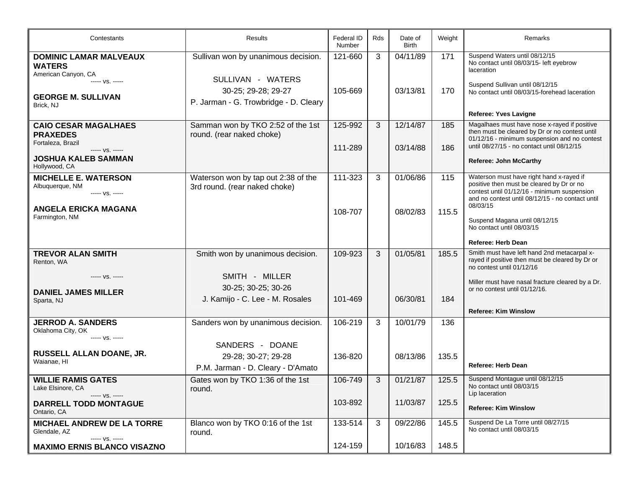| Contestants                                                         | <b>Results</b>                                                       | Federal ID<br>Number | Rds | Date of<br><b>Birth</b> | Weight | Remarks                                                                                                                                                                                              |
|---------------------------------------------------------------------|----------------------------------------------------------------------|----------------------|-----|-------------------------|--------|------------------------------------------------------------------------------------------------------------------------------------------------------------------------------------------------------|
| <b>DOMINIC LAMAR MALVEAUX</b><br><b>WATERS</b>                      | Sullivan won by unanimous decision.                                  | 121-660              | 3   | 04/11/89                | 171    | Suspend Waters until 08/12/15<br>No contact until 08/03/15- left eyebrow<br>laceration                                                                                                               |
| American Canyon, CA<br>----- VS. -----                              | SULLIVAN - WATERS<br>30-25; 29-28; 29-27                             | 105-669              |     | 03/13/81                | 170    | Suspend Sullivan until 08/12/15<br>No contact until 08/03/15-forehead laceration                                                                                                                     |
| <b>GEORGE M. SULLIVAN</b><br>Brick, NJ                              | P. Jarman - G. Trowbridge - D. Cleary                                |                      |     |                         |        |                                                                                                                                                                                                      |
|                                                                     |                                                                      |                      |     |                         |        | Referee: Yves Lavigne                                                                                                                                                                                |
| <b>CAIO CESAR MAGALHAES</b><br><b>PRAXEDES</b><br>Fortaleza, Brazil | Samman won by TKO 2:52 of the 1st<br>round. (rear naked choke)       | 125-992              | 3   | 12/14/87                | 185    | Magalhaes must have nose x-rayed if positive<br>then must be cleared by Dr or no contest until<br>01/12/16 - minimum suspension and no contest<br>until 08/27/15 - no contact until 08/12/15         |
| ----- VS. -----<br><b>JOSHUA KALEB SAMMAN</b><br>Hollywood, CA      |                                                                      | 111-289              |     | 03/14/88                | 186    | <b>Referee: John McCarthy</b>                                                                                                                                                                        |
|                                                                     |                                                                      |                      |     |                         |        |                                                                                                                                                                                                      |
| <b>MICHELLE E. WATERSON</b><br>Albuquerque, NM<br>----- VS. -----   | Waterson won by tap out 2:38 of the<br>3rd round. (rear naked choke) | 111-323              | 3   | 01/06/86                | 115    | Waterson must have right hand x-rayed if<br>positive then must be cleared by Dr or no<br>contest until 01/12/16 - minimum suspension<br>and no contest until 08/12/15 - no contact until<br>08/03/15 |
| <b>ANGELA ERICKA MAGANA</b><br>Farmington, NM                       |                                                                      | 108-707              |     | 08/02/83                | 115.5  | Suspend Magana until 08/12/15<br>No contact until 08/03/15                                                                                                                                           |
|                                                                     |                                                                      |                      |     |                         |        | <b>Referee: Herb Dean</b>                                                                                                                                                                            |
| <b>TREVOR ALAN SMITH</b><br>Renton, WA                              | Smith won by unanimous decision.                                     | 109-923              | 3   | 01/05/81                | 185.5  | Smith must have left hand 2nd metacarpal x-<br>rayed if positive then must be cleared by Dr or<br>no contest until 01/12/16                                                                          |
| ----- VS. -----                                                     | SMITH - MILLER                                                       |                      |     |                         |        | Miller must have nasal fracture cleared by a Dr.                                                                                                                                                     |
| <b>DANIEL JAMES MILLER</b>                                          | 30-25; 30-25; 30-26                                                  |                      |     |                         |        | or no contest until 01/12/16.                                                                                                                                                                        |
| Sparta, NJ                                                          | J. Kamijo - C. Lee - M. Rosales                                      | 101-469              |     | 06/30/81                | 184    |                                                                                                                                                                                                      |
|                                                                     |                                                                      |                      |     |                         |        | <b>Referee: Kim Winslow</b>                                                                                                                                                                          |
| <b>JERROD A. SANDERS</b><br>Oklahoma City, OK                       | Sanders won by unanimous decision.                                   | 106-219              | 3   | 10/01/79                | 136    |                                                                                                                                                                                                      |
| ----- VS. -----                                                     | SANDERS - DOANE                                                      |                      |     |                         |        |                                                                                                                                                                                                      |
| RUSSELL ALLAN DOANE, JR.                                            | 29-28; 30-27; 29-28                                                  | 136-820              |     | 08/13/86                | 135.5  |                                                                                                                                                                                                      |
| Waianae, HI                                                         | P.M. Jarman - D. Cleary - D'Amato                                    |                      |     |                         |        | Referee: Herb Dean                                                                                                                                                                                   |
| <b>WILLIE RAMIS GATES</b>                                           | Gates won by TKO 1:36 of the 1st                                     | 106-749              | 3   | 01/21/87                | 125.5  | Suspend Montague until 08/12/15                                                                                                                                                                      |
| Lake Elsinore, CA<br>----- VS. -----                                | round.                                                               |                      |     |                         |        | No contact until 08/03/15<br>Lip laceration                                                                                                                                                          |
| <b>DARRELL TODD MONTAGUE</b><br>Ontario, CA                         |                                                                      | 103-892              |     | 11/03/87                | 125.5  | <b>Referee: Kim Winslow</b>                                                                                                                                                                          |
| <b>MICHAEL ANDREW DE LA TORRE</b><br>Glendale, AZ<br>$--- VS.$      | Blanco won by TKO 0:16 of the 1st<br>round.                          | 133-514              | 3   | 09/22/86                | 145.5  | Suspend De La Torre until 08/27/15<br>No contact until 08/03/15                                                                                                                                      |
| <b>MAXIMO ERNIS BLANCO VISAZNO</b>                                  |                                                                      | 124-159              |     | 10/16/83                | 148.5  |                                                                                                                                                                                                      |